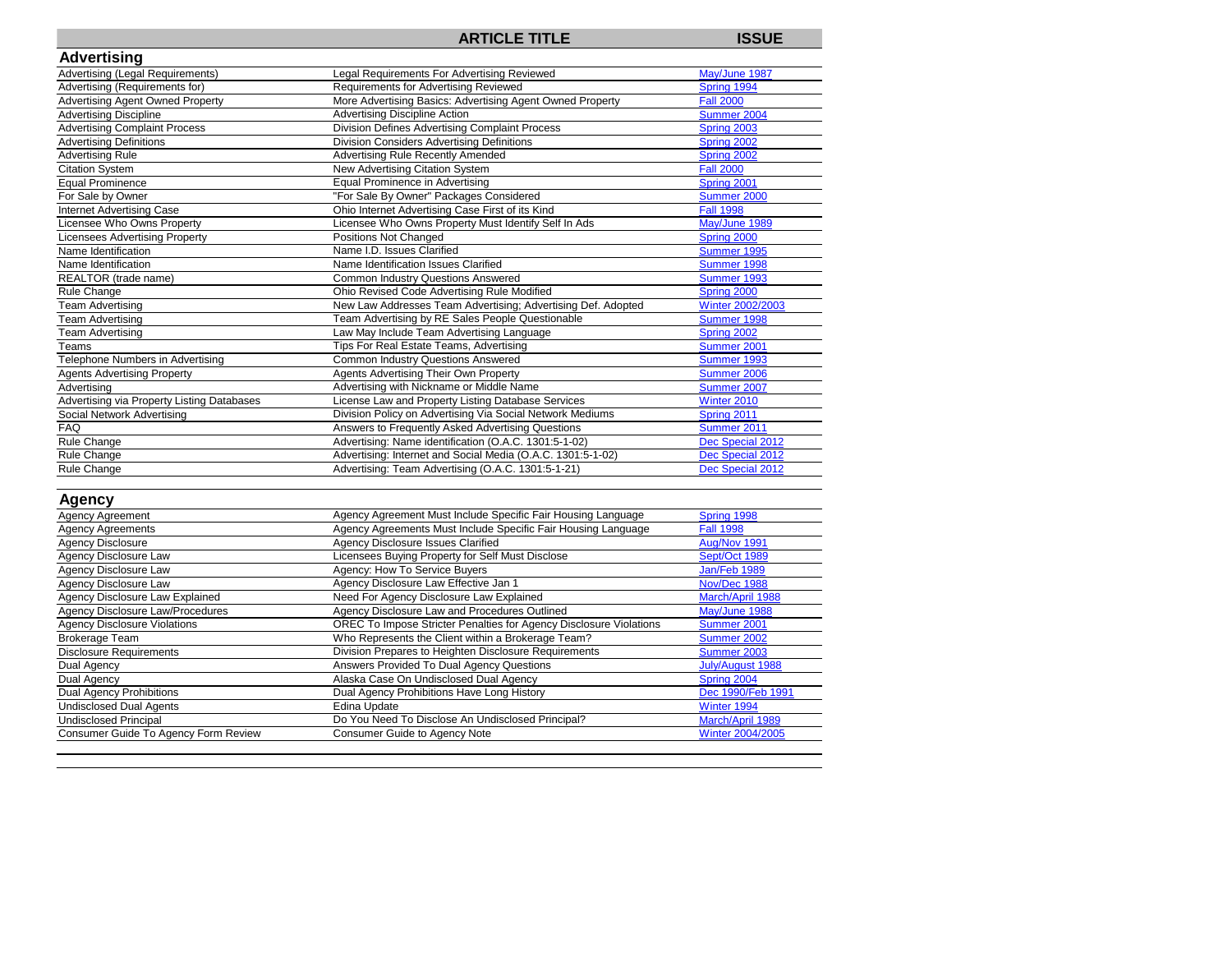## **ARTICLE TITLE ISSUE**

| <b>Advertising</b>                         |                                                                           |                     |
|--------------------------------------------|---------------------------------------------------------------------------|---------------------|
| Advertising (Legal Requirements)           | Legal Requirements For Advertising Reviewed                               | May/June 1987       |
| Advertising (Requirements for)             | Requirements for Advertising Reviewed                                     | Spring 1994         |
| <b>Advertising Agent Owned Property</b>    | More Advertising Basics: Advertising Agent Owned Property                 | <b>Fall 2000</b>    |
| <b>Advertising Discipline</b>              | <b>Advertising Discipline Action</b>                                      | Summer 2004         |
| <b>Advertising Complaint Process</b>       | <b>Division Defines Advertising Complaint Process</b>                     | Spring 2003         |
| <b>Advertising Definitions</b>             | <b>Division Considers Advertising Definitions</b>                         | Spring 2002         |
| <b>Advertising Rule</b>                    | <b>Advertising Rule Recently Amended</b>                                  | Spring 2002         |
| <b>Citation System</b>                     | New Advertising Citation System                                           | <b>Fall 2000</b>    |
| <b>Equal Prominence</b>                    | <b>Equal Prominence in Advertising</b>                                    | Spring 2001         |
| For Sale by Owner                          | "For Sale By Owner" Packages Considered                                   | Summer 2000         |
| <b>Internet Advertising Case</b>           | Ohio Internet Advertising Case First of its Kind                          | <b>Fall 1998</b>    |
| Licensee Who Owns Property                 | Licensee Who Owns Property Must Identify Self In Ads                      | May/June 1989       |
| <b>Licensees Advertising Property</b>      | Positions Not Changed                                                     | Spring 2000         |
| Name Identification                        | Name I.D. Issues Clarified                                                | Summer 1995         |
| Name Identification                        | Name Identification Issues Clarified                                      | Summer 1998         |
| REALTOR (trade name)                       | <b>Common Industry Questions Answered</b>                                 | Summer 1993         |
| Rule Change                                | Ohio Revised Code Advertising Rule Modified                               | Spring 2000         |
| <b>Team Advertising</b>                    | New Law Addresses Team Advertising; Advertising Def. Adopted              | Winter 2002/2003    |
| <b>Team Advertising</b>                    | Team Advertising by RE Sales People Questionable                          | Summer 1998         |
| <b>Team Advertising</b>                    | Law May Include Team Advertising Language                                 | Spring 2002         |
| Teams                                      | Tips For Real Estate Teams, Advertising                                   | Summer 2001         |
| Telephone Numbers in Advertising           | <b>Common Industry Questions Answered</b>                                 | Summer 1993         |
| <b>Agents Advertising Property</b>         | Agents Advertising Their Own Property                                     | Summer 2006         |
| Advertising                                | Advertising with Nickname or Middle Name                                  | Summer 2007         |
| Advertising via Property Listing Databases | License Law and Property Listing Database Services                        | Winter 2010         |
| Social Network Advertising                 | Division Policy on Advertising Via Social Network Mediums                 | Spring 2011         |
| <b>FAQ</b>                                 | Answers to Frequently Asked Advertising Questions                         | Summer 2011         |
| Rule Change                                | Advertising: Name identification (O.A.C. 1301:5-1-02)                     | Dec Special 2012    |
| Rule Change                                | Advertising: Internet and Social Media (O.A.C. 1301:5-1-02)               | Dec Special 2012    |
| Rule Change                                | Advertising: Team Advertising (O.A.C. 1301:5-1-21)                        | Dec Special 2012    |
| <b>Agency</b>                              |                                                                           |                     |
| Agency Agreement                           | Agency Agreement Must Include Specific Fair Housing Language              | Spring 1998         |
| <b>Agency Agreements</b>                   | Agency Agreements Must Include Specific Fair Housing Language             | <b>Fall 1998</b>    |
| <b>Agency Disclosure</b>                   | <b>Agency Disclosure Issues Clarified</b>                                 | Aug/Nov 1991        |
| Agency Disclosure Law                      | Licensees Buying Property for Self Must Disclose                          | Sept/Oct 1989       |
| Agency Disclosure Law                      | Agency: How To Service Buyers                                             | <b>Jan/Feb 1989</b> |
| Agency Disclosure Law                      | Agency Disclosure Law Effective Jan 1                                     | Nov/Dec 1988        |
| Agency Disclosure Law Explained            | Need For Agency Disclosure Law Explained                                  | March/April 1988    |
| <b>Agency Disclosure Law/Procedures</b>    | Agency Disclosure Law and Procedures Outlined                             | May/June 1988       |
| <b>Agency Disclosure Violations</b>        | <b>OREC To Impose Stricter Penalties for Agency Disclosure Violations</b> | Summer 2001         |
| <b>Brokerage Team</b>                      | Who Represents the Client within a Brokerage Team?                        | Summer 2002         |
| <b>Disclosure Requirements</b>             | Division Prepares to Heighten Disclosure Requirements                     | Summer 2003         |
| Dual Agency                                | Answers Provided To Dual Agency Questions                                 | July/August 1988    |
| Dual Agency                                | Alaska Case On Undisclosed Dual Agency                                    | Spring 2004         |
| <b>Dual Agency Prohibitions</b>            | Dual Agency Prohibitions Have Long History                                | Dec 1990/Feb 1991   |
| <b>Undisclosed Dual Agents</b>             | Edina Update                                                              | Winter 1994         |
| <b>Undisclosed Principal</b>               | Do You Need To Disclose An Undisclosed Principal?                         | March/April 1989    |
| Consumer Guide To Agency Form Review       | <b>Consumer Guide to Agency Note</b>                                      | Winter 2004/2005    |
|                                            |                                                                           |                     |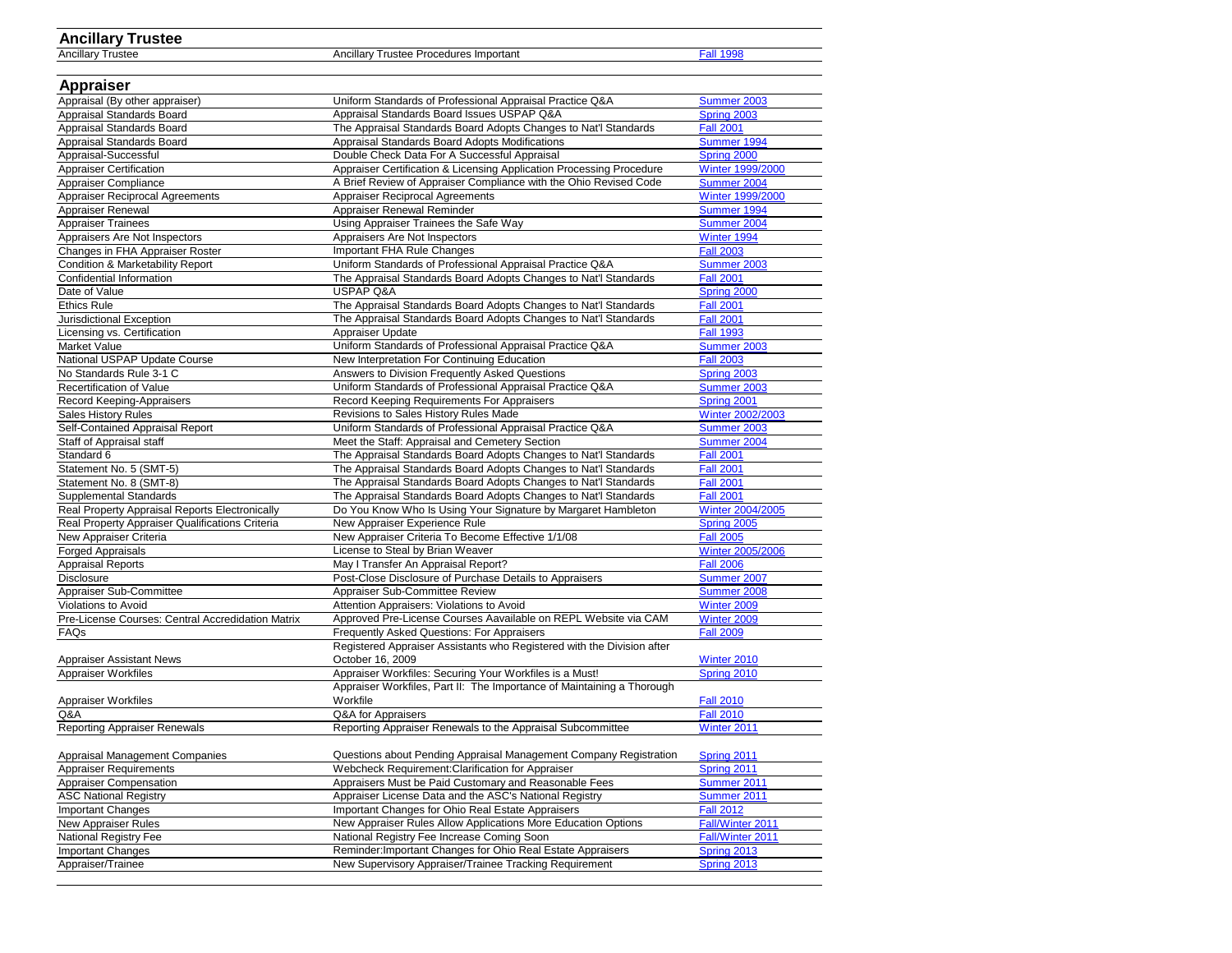# **Ancillary Trustee**

Ancillary Trustee Procedures Important [Fall 1998](http://www.com.ohio.gov/documents/real_1998Fall.pdf)

| <b>Appraiser</b>                                  |                                                                        |                         |
|---------------------------------------------------|------------------------------------------------------------------------|-------------------------|
| Appraisal (By other appraiser)                    | Uniform Standards of Professional Appraisal Practice Q&A               | Summer 2003             |
| Appraisal Standards Board                         | Appraisal Standards Board Issues USPAP Q&A                             | Spring 2003             |
| Appraisal Standards Board                         | The Appraisal Standards Board Adopts Changes to Nat'l Standards        | <b>Fall 2001</b>        |
| Appraisal Standards Board                         | Appraisal Standards Board Adopts Modifications                         | Summer 1994             |
| Appraisal-Successful                              | Double Check Data For A Successful Appraisal                           | Spring 2000             |
| <b>Appraiser Certification</b>                    | Appraiser Certification & Licensing Application Processing Procedure   | <b>Winter 1999/2000</b> |
| Appraiser Compliance                              | A Brief Review of Appraiser Compliance with the Ohio Revised Code      | Summer 2004             |
| <b>Appraiser Reciprocal Agreements</b>            | Appraiser Reciprocal Agreements                                        | Winter 1999/2000        |
| Appraiser Renewal                                 | Appraiser Renewal Reminder                                             | Summer 1994             |
| <b>Appraiser Trainees</b>                         | Using Appraiser Trainees the Safe Way                                  | Summer 2004             |
| Appraisers Are Not Inspectors                     | Appraisers Are Not Inspectors                                          | Winter 1994             |
| Changes in FHA Appraiser Roster                   | Important FHA Rule Changes                                             | <b>Fall 2003</b>        |
| <b>Condition &amp; Marketability Report</b>       | Uniform Standards of Professional Appraisal Practice Q&A               | Summer 2003             |
| Confidential Information                          | The Appraisal Standards Board Adopts Changes to Nat'l Standards        | <b>Fall 2001</b>        |
| Date of Value                                     | <b>USPAP Q&amp;A</b>                                                   | Spring 2000             |
| <b>Ethics Rule</b>                                | The Appraisal Standards Board Adopts Changes to Nat'l Standards        | <b>Fall 2001</b>        |
| Jurisdictional Exception                          | The Appraisal Standards Board Adopts Changes to Nat'l Standards        | <b>Fall 2001</b>        |
| Licensing vs. Certification                       | Appraiser Update                                                       | <b>Fall 1993</b>        |
| Market Value                                      | Uniform Standards of Professional Appraisal Practice Q&A               | Summer 2003             |
| National USPAP Update Course                      | New Interpretation For Continuing Education                            | <b>Fall 2003</b>        |
| No Standards Rule 3-1 C                           | Answers to Division Frequently Asked Questions                         | <b>Spring 2003</b>      |
| <b>Recertification of Value</b>                   | Uniform Standards of Professional Appraisal Practice Q&A               | <b>Summer 2003</b>      |
| Record Keeping-Appraisers                         | Record Keeping Requirements For Appraisers                             | Spring 2001             |
| Sales History Rules                               | Revisions to Sales History Rules Made                                  | Winter 2002/2003        |
| Self-Contained Appraisal Report                   | Uniform Standards of Professional Appraisal Practice Q&A               | Summer 2003             |
| Staff of Appraisal staff                          | Meet the Staff: Appraisal and Cemetery Section                         | Summer 2004             |
| Standard 6                                        | The Appraisal Standards Board Adopts Changes to Nat'l Standards        | <b>Fall 2001</b>        |
| Statement No. 5 (SMT-5)                           | The Appraisal Standards Board Adopts Changes to Nat'l Standards        | <b>Fall 2001</b>        |
| Statement No. 8 (SMT-8)                           | The Appraisal Standards Board Adopts Changes to Nat'l Standards        | <b>Fall 2001</b>        |
| <b>Supplemental Standards</b>                     | The Appraisal Standards Board Adopts Changes to Nat'l Standards        | <b>Fall 2001</b>        |
| Real Property Appraisal Reports Electronically    | Do You Know Who Is Using Your Signature by Margaret Hambleton          | Winter 2004/2005        |
| Real Property Appraiser Qualifications Criteria   | New Appraiser Experience Rule                                          | Spring 2005             |
| New Appraiser Criteria                            | New Appraiser Criteria To Become Effective 1/1/08                      | <b>Fall 2005</b>        |
| <b>Forged Appraisals</b>                          | License to Steal by Brian Weaver                                       | Winter 2005/2006        |
| <b>Appraisal Reports</b>                          | May I Transfer An Appraisal Report?                                    | <b>Fall 2006</b>        |
| <b>Disclosure</b>                                 | Post-Close Disclosure of Purchase Details to Appraisers                | Summer 2007             |
| Appraiser Sub-Committee                           | Appraiser Sub-Committee Review                                         | Summer 2008             |
| <b>Violations to Avoid</b>                        | Attention Appraisers: Violations to Avoid                              | Winter 2009             |
| Pre-License Courses: Central Accredidation Matrix | Approved Pre-License Courses Aavailable on REPL Website via CAM        | Winter 2009             |
| FAQs                                              | <b>Frequently Asked Questions: For Appraisers</b>                      | <b>Fall 2009</b>        |
|                                                   | Registered Appraiser Assistants who Registered with the Division after |                         |
| <b>Appraiser Assistant News</b>                   | October 16, 2009                                                       | Winter 2010             |
| <b>Appraiser Workfiles</b>                        | Appraiser Workfiles: Securing Your Workfiles is a Must!                | Spring 2010             |
|                                                   | Appraiser Workfiles, Part II: The Importance of Maintaining a Thorough |                         |
| <b>Appraiser Workfiles</b>                        | Workfile                                                               | <b>Fall 2010</b>        |
| Q&A                                               | Q&A for Appraisers                                                     | <b>Fall 2010</b>        |
| <b>Reporting Appraiser Renewals</b>               | Reporting Appraiser Renewals to the Appraisal Subcommittee             | Winter 2011             |
|                                                   |                                                                        |                         |
| <b>Appraisal Management Companies</b>             | Questions about Pending Appraisal Management Company Registration      | Spring 2011             |
| <b>Appraiser Requirements</b>                     | Webcheck Requirement: Clarification for Appraiser                      | Spring 2011             |
| <b>Appraiser Compensation</b>                     | Appraisers Must be Paid Customary and Reasonable Fees                  | Summer 2011             |
| <b>ASC National Registry</b>                      | Appraiser License Data and the ASC's National Registry                 | Summer 2011             |
| <b>Important Changes</b>                          | Important Changes for Ohio Real Estate Appraisers                      | <b>Fall 2012</b>        |
| New Appraiser Rules                               | New Appraiser Rules Allow Applications More Education Options          | Fall/Winter 2011        |
| National Registry Fee                             | National Registry Fee Increase Coming Soon                             | Fall/Winter 2011        |
| <b>Important Changes</b>                          | Reminder: Important Changes for Ohio Real Estate Appraisers            | <b>Spring 2013</b>      |
| Appraiser/Trainee                                 | New Supervisory Appraiser/Trainee Tracking Requirement                 | Spring 2013             |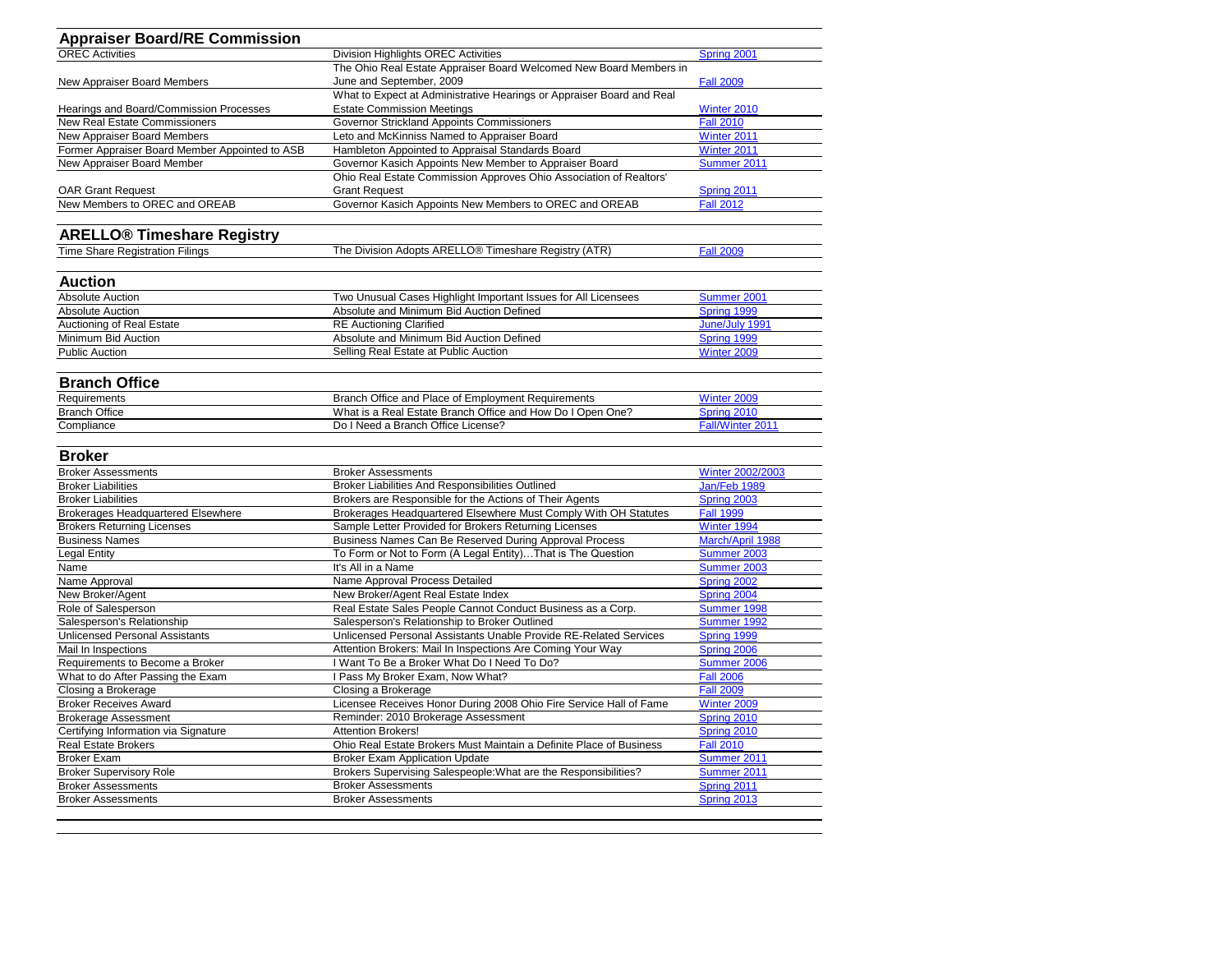| <b>Appraiser Board/RE Commission</b>           |                                                                       |                         |
|------------------------------------------------|-----------------------------------------------------------------------|-------------------------|
| <b>OREC Activities</b>                         | <b>Division Highlights OREC Activities</b>                            | Spring 2001             |
|                                                | The Ohio Real Estate Appraiser Board Welcomed New Board Members in    |                         |
| New Appraiser Board Members                    | June and September, 2009                                              | <b>Fall 2009</b>        |
|                                                | What to Expect at Administrative Hearings or Appraiser Board and Real |                         |
| Hearings and Board/Commission Processes        | <b>Estate Commission Meetings</b>                                     | Winter 2010             |
| <b>New Real Estate Commissioners</b>           | Governor Strickland Appoints Commissioners                            | <b>Fall 2010</b>        |
| New Appraiser Board Members                    | Leto and McKinniss Named to Appraiser Board                           | Winter 2011             |
| Former Appraiser Board Member Appointed to ASB | Hambleton Appointed to Appraisal Standards Board                      | Winter 2011             |
| New Appraiser Board Member                     | Governor Kasich Appoints New Member to Appraiser Board                | Summer 2011             |
|                                                | Ohio Real Estate Commission Approves Ohio Association of Realtors'    |                         |
| <b>OAR Grant Request</b>                       | <b>Grant Request</b>                                                  | Spring 2011             |
| New Members to OREC and OREAB                  | Governor Kasich Appoints New Members to OREC and OREAB                | <b>Fall 2012</b>        |
| <b>ARELLO<sup>®</sup> Timeshare Registry</b>   |                                                                       |                         |
| <b>Time Share Registration Filings</b>         | The Division Adopts ARELLO <sup>®</sup> Timeshare Registry (ATR)      | <b>Fall 2009</b>        |
|                                                |                                                                       |                         |
| <b>Auction</b>                                 |                                                                       |                         |
| <b>Absolute Auction</b>                        | Two Unusual Cases Highlight Important Issues for All Licensees        | Summer 2001             |
| <b>Absolute Auction</b>                        | Absolute and Minimum Bid Auction Defined                              | Spring 1999             |
| Auctioning of Real Estate                      | <b>RE Auctioning Clarified</b>                                        | June/July 1991          |
| Minimum Bid Auction                            | Absolute and Minimum Bid Auction Defined                              | Spring 1999             |
| <b>Public Auction</b>                          | Selling Real Estate at Public Auction                                 | Winter 2009             |
|                                                |                                                                       |                         |
| <b>Branch Office</b>                           |                                                                       |                         |
| Requirements                                   | Branch Office and Place of Employment Requirements                    | Winter 2009             |
| <b>Branch Office</b>                           | What is a Real Estate Branch Office and How Do I Open One?            | Spring 2010             |
| Compliance                                     | Do I Need a Branch Office License?                                    | Fall/Winter 2011        |
| <b>Broker</b>                                  |                                                                       |                         |
| <b>Broker Assessments</b>                      | <b>Broker Assessments</b>                                             | <b>Winter 2002/2003</b> |
| <b>Broker Liabilities</b>                      | Broker Liabilities And Responsibilities Outlined                      | Jan/Feb 1989            |
| <b>Broker Liabilities</b>                      | Brokers are Responsible for the Actions of Their Agents               | Spring 2003             |
| <b>Brokerages Headquartered Elsewhere</b>      | Brokerages Headquartered Elsewhere Must Comply With OH Statutes       | <b>Fall 1999</b>        |
| <b>Brokers Returning Licenses</b>              | Sample Letter Provided for Brokers Returning Licenses                 | Winter 1994             |
| <b>Business Names</b>                          | Business Names Can Be Reserved During Approval Process                | March/April 1988        |
| <b>Legal Entity</b>                            | To Form or Not to Form (A Legal Entity)That is The Question           | Summer 2003             |
| Name                                           | It's All in a Name                                                    | Summer 2003             |
| Name Approval                                  | Name Approval Process Detailed                                        | Spring 2002             |
| New Broker/Agent                               | New Broker/Agent Real Estate Index                                    | Spring 2004             |
| Role of Salesperson                            | Real Estate Sales People Cannot Conduct Business as a Corp.           | Summer 1998             |
| Salesperson's Relationship                     | Salesperson's Relationship to Broker Outlined                         | Summer 1992             |
| <b>Unlicensed Personal Assistants</b>          | Unlicensed Personal Assistants Unable Provide RE-Related Services     | Spring 1999             |
| Mail In Inspections                            | Attention Brokers: Mail In Inspections Are Coming Your Way            | Spring 2006             |
| Requirements to Become a Broker                | I Want To Be a Broker What Do I Need To Do?                           | Summer 2006             |
| What to do After Passing the Exam              | I Pass My Broker Exam, Now What?                                      | <b>Fall 2006</b>        |
| Closing a Brokerage                            | Closing a Brokerage                                                   | <b>Fall 2009</b>        |
| <b>Broker Receives Award</b>                   | Licensee Receives Honor During 2008 Ohio Fire Service Hall of Fame    | Winter 2009             |
| <b>Brokerage Assessment</b>                    | Reminder: 2010 Brokerage Assessment                                   | Spring 2010             |
| Certifying Information via Signature           | Attention Brokers!                                                    | Spring 2010             |
| <b>Real Estate Brokers</b>                     | Ohio Real Estate Brokers Must Maintain a Definite Place of Business   | <b>Fall 2010</b>        |
| <b>Broker Exam</b>                             | <b>Broker Exam Application Update</b>                                 | Summer 2011             |
| <b>Broker Supervisory Role</b>                 | Brokers Supervising Salespeople: What are the Responsibilities?       | Summer 2011             |
| <b>Broker Assessments</b>                      | <b>Broker Assessments</b>                                             | Spring 2011             |
| <b>Broker Assessments</b>                      | <b>Broker Assessments</b>                                             | Spring 2013             |
|                                                |                                                                       |                         |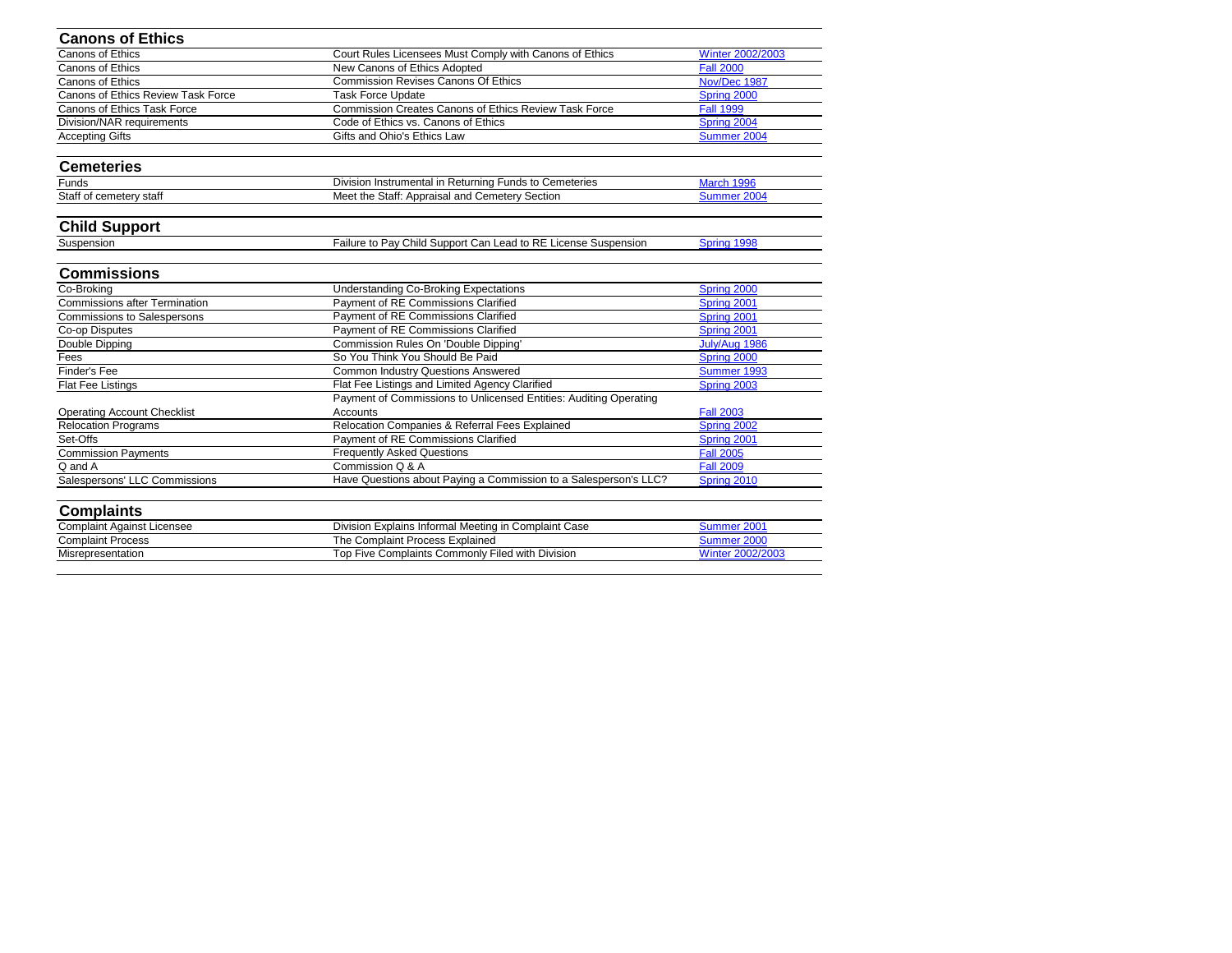| <b>Canons of Ethics</b>              |                                                                   |                  |
|--------------------------------------|-------------------------------------------------------------------|------------------|
| <b>Canons of Ethics</b>              | Court Rules Licensees Must Comply with Canons of Ethics           | Winter 2002/2003 |
| <b>Canons of Ethics</b>              | New Canons of Ethics Adopted                                      | <b>Fall 2000</b> |
| Canons of Ethics                     | <b>Commission Revises Canons Of Ethics</b>                        | Nov/Dec 1987     |
| Canons of Ethics Review Task Force   | <b>Task Force Update</b>                                          | Spring 2000      |
| <b>Canons of Ethics Task Force</b>   | <b>Commission Creates Canons of Ethics Review Task Force</b>      | <b>Fall 1999</b> |
| Division/NAR requirements            | Code of Ethics vs. Canons of Ethics                               | Spring 2004      |
| <b>Accepting Gifts</b>               | Gifts and Ohio's Ethics Law                                       | Summer 2004      |
| <b>Cemeteries</b>                    |                                                                   |                  |
| Funds                                | Division Instrumental in Returning Funds to Cemeteries            | March 1996       |
| Staff of cemetery staff              | Meet the Staff: Appraisal and Cemetery Section                    | Summer 2004      |
| <b>Child Support</b>                 |                                                                   |                  |
| Suspension                           | Failure to Pay Child Support Can Lead to RE License Suspension    | Spring 1998      |
| <b>Commissions</b>                   |                                                                   |                  |
| Co-Broking                           | <b>Understanding Co-Broking Expectations</b>                      | Spring 2000      |
| <b>Commissions after Termination</b> | Payment of RE Commissions Clarified                               | Spring 2001      |
| <b>Commissions to Salespersons</b>   | Payment of RE Commissions Clarified                               | Spring 2001      |
| Co-op Disputes                       | Payment of RE Commissions Clarified                               | Spring 2001      |
| Double Dipping                       | <b>Commission Rules On 'Double Dipping'</b>                       | July/Aug 1986    |
| Fees                                 | So You Think You Should Be Paid                                   | Spring 2000      |
| <b>Finder's Fee</b>                  | <b>Common Industry Questions Answered</b>                         | Summer 1993      |
| Flat Fee Listings                    | Flat Fee Listings and Limited Agency Clarified                    | Spring 2003      |
|                                      | Payment of Commissions to Unlicensed Entities: Auditing Operating |                  |
| <b>Operating Account Checklist</b>   | Accounts                                                          | <b>Fall 2003</b> |
| <b>Relocation Programs</b>           | Relocation Companies & Referral Fees Explained                    | Spring 2002      |
| Set-Offs                             | Payment of RE Commissions Clarified                               | Spring 2001      |
| <b>Commission Payments</b>           | <b>Frequently Asked Questions</b>                                 | <b>Fall 2005</b> |
| Q and A                              | Commission Q & A                                                  | <b>Fall 2009</b> |
| Salespersons' LLC Commissions        | Have Questions about Paying a Commission to a Salesperson's LLC?  | Spring 2010      |
| <b>Complaints</b>                    |                                                                   |                  |
| <b>Complaint Against Licensee</b>    | Division Explains Informal Meeting in Complaint Case              | Summer 2001      |
| <b>Complaint Process</b>             | The Complaint Process Explained                                   | Summer 2000      |
| Misrepresentation                    | Top Five Complaints Commonly Filed with Division                  | Winter 2002/2003 |
|                                      |                                                                   |                  |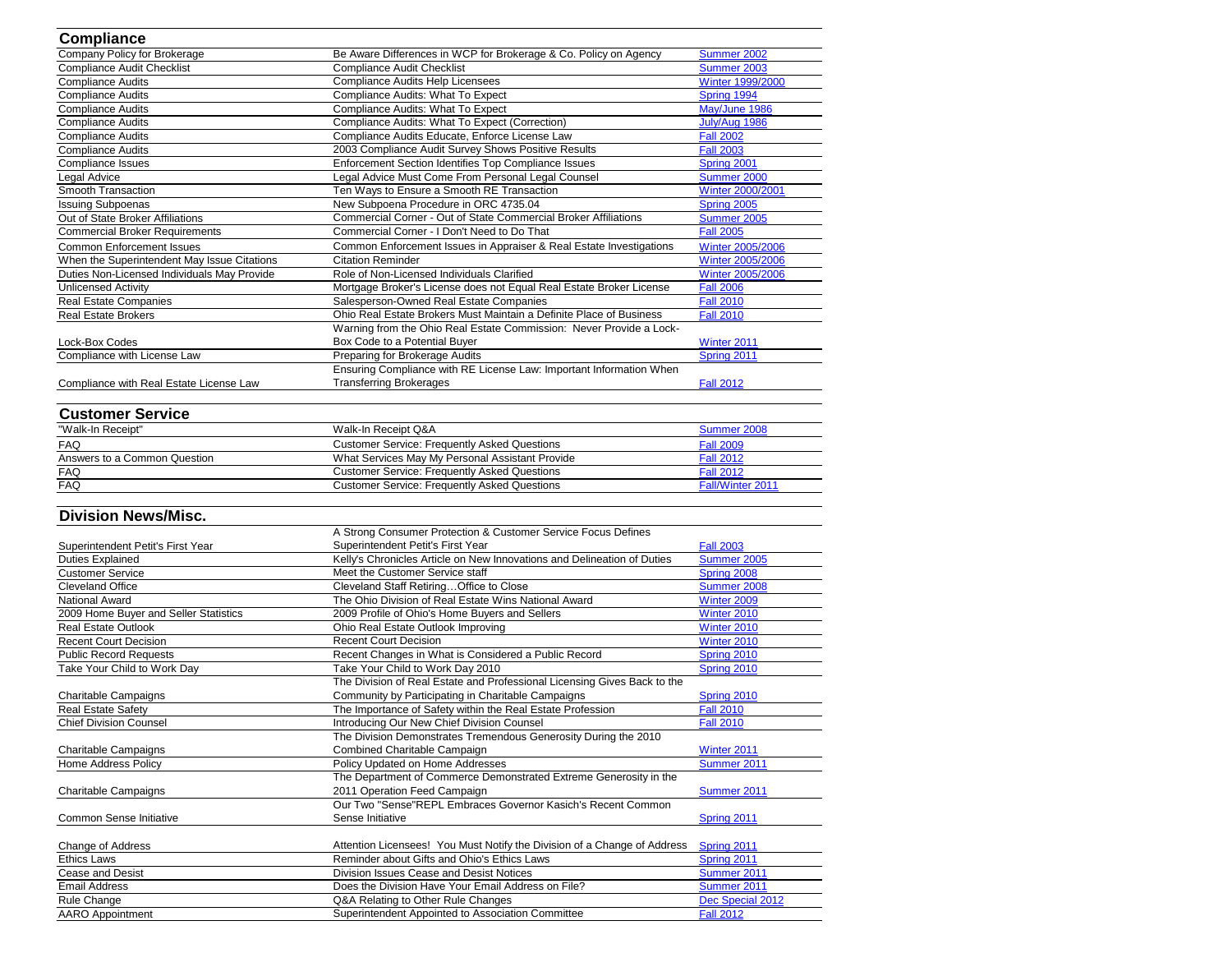| <b>Compliance</b>                           |                                                                          |                         |
|---------------------------------------------|--------------------------------------------------------------------------|-------------------------|
| Company Policy for Brokerage                | Be Aware Differences in WCP for Brokerage & Co. Policy on Agency         | Summer 2002             |
| Compliance Audit Checklist                  | <b>Compliance Audit Checklist</b>                                        | Summer 2003             |
| <b>Compliance Audits</b>                    | <b>Compliance Audits Help Licensees</b>                                  | <b>Winter 1999/2000</b> |
| <b>Compliance Audits</b>                    | Compliance Audits: What To Expect                                        | Spring 1994             |
| <b>Compliance Audits</b>                    | Compliance Audits: What To Expect                                        | May/June 1986           |
| <b>Compliance Audits</b>                    | Compliance Audits: What To Expect (Correction)                           | July/Aug 1986           |
| <b>Compliance Audits</b>                    | Compliance Audits Educate, Enforce License Law                           | <b>Fall 2002</b>        |
| <b>Compliance Audits</b>                    | 2003 Compliance Audit Survey Shows Positive Results                      | <b>Fall 2003</b>        |
| <b>Compliance Issues</b>                    | <b>Enforcement Section Identifies Top Compliance Issues</b>              | Spring 2001             |
| Legal Advice                                | Legal Advice Must Come From Personal Legal Counsel                       | Summer 2000             |
| Smooth Transaction                          | Ten Ways to Ensure a Smooth RE Transaction                               | <b>Winter 2000/2001</b> |
| <b>Issuing Subpoenas</b>                    | New Subpoena Procedure in ORC 4735.04                                    | Spring 2005             |
| Out of State Broker Affiliations            | Commercial Corner - Out of State Commercial Broker Affiliations          | Summer 2005             |
| <b>Commercial Broker Requirements</b>       | Commercial Corner - I Don't Need to Do That                              | <b>Fall 2005</b>        |
| <b>Common Enforcement Issues</b>            | Common Enforcement Issues in Appraiser & Real Estate Investigations      | <b>Winter 2005/2006</b> |
| When the Superintendent May Issue Citations | <b>Citation Reminder</b>                                                 | <b>Winter 2005/2006</b> |
| Duties Non-Licensed Individuals May Provide | Role of Non-Licensed Individuals Clarified                               | <b>Winter 2005/2006</b> |
| <b>Unlicensed Activity</b>                  | Mortgage Broker's License does not Equal Real Estate Broker License      | <b>Fall 2006</b>        |
| <b>Real Estate Companies</b>                | Salesperson-Owned Real Estate Companies                                  | <b>Fall 2010</b>        |
| <b>Real Estate Brokers</b>                  | Ohio Real Estate Brokers Must Maintain a Definite Place of Business      | <b>Fall 2010</b>        |
|                                             | Warning from the Ohio Real Estate Commission: Never Provide a Lock-      |                         |
| Lock-Box Codes                              | Box Code to a Potential Buyer                                            | Winter 2011             |
| Compliance with License Law                 | Preparing for Brokerage Audits                                           | Spring 2011             |
|                                             | Ensuring Compliance with RE License Law: Important Information When      |                         |
| Compliance with Real Estate License Law     | <b>Transferring Brokerages</b>                                           | <b>Fall 2012</b>        |
|                                             |                                                                          |                         |
| <b>Customer Service</b>                     |                                                                          |                         |
| "Walk-In Receipt"                           | Walk-In Receipt Q&A                                                      | Summer 2008             |
| <b>FAQ</b>                                  | <b>Customer Service: Frequently Asked Questions</b>                      | <b>Fall 2009</b>        |
| Answers to a Common Question                | What Services May My Personal Assistant Provide                          | <b>Fall 2012</b>        |
| <b>FAQ</b>                                  | <b>Customer Service: Frequently Asked Questions</b>                      | <b>Fall 2012</b>        |
| <b>FAQ</b>                                  | <b>Customer Service: Frequently Asked Questions</b>                      | Fall/Winter 2011        |
|                                             |                                                                          |                         |
| <b>Division News/Misc.</b>                  |                                                                          |                         |
|                                             | A Strong Consumer Protection & Customer Service Focus Defines            |                         |
| Superintendent Petit's First Year           | Superintendent Petit's First Year                                        | <b>Fall 2003</b>        |
| <b>Duties Explained</b>                     | Kelly's Chronicles Article on New Innovations and Delineation of Duties  | Summer 2005             |
| <b>Customer Service</b>                     | Meet the Customer Service staff                                          | Spring 2008             |
| <b>Cleveland Office</b>                     | Cleveland Staff Retiring Office to Close                                 | Summer 2008             |
| <b>National Award</b>                       | The Ohio Division of Real Estate Wins National Award                     | Winter 2009             |
| 2009 Home Buyer and Seller Statistics       | 2009 Profile of Ohio's Home Buyers and Sellers                           | Winter 2010             |
| <b>Real Estate Outlook</b>                  | Ohio Real Estate Outlook Improving                                       | Winter 2010             |
| <b>Recent Court Decision</b>                | <b>Recent Court Decision</b>                                             | Winter 2010             |
| <b>Public Record Requests</b>               | Recent Changes in What is Considered a Public Record                     | Spring 2010             |
| Take Your Child to Work Day                 | Take Your Child to Work Day 2010                                         | Spring 2010             |
|                                             | The Division of Real Estate and Professional Licensing Gives Back to the |                         |
| <b>Charitable Campaigns</b>                 | Community by Participating in Charitable Campaigns                       | Spring 2010             |
| <b>Real Estate Safety</b>                   | The Importance of Safety within the Real Estate Profession               | <b>Fall 2010</b>        |
| <b>Chief Division Counsel</b>               | Introducing Our New Chief Division Counsel                               | <b>Fall 2010</b>        |
|                                             | The Division Demonstrates Tremendous Generosity During the 2010          |                         |
| <b>Charitable Campaigns</b>                 | Combined Charitable Campaign                                             | Winter 2011             |
| <b>Home Address Policy</b>                  | Policy Updated on Home Addresses                                         | Summer 2011             |
|                                             | The Department of Commerce Demonstrated Extreme Generosity in the        |                         |
| <b>Charitable Campaigns</b>                 | 2011 Operation Feed Campaign                                             | Summer 2011             |
|                                             | Our Two "Sense"REPL Embraces Governor Kasich's Recent Common             |                         |
| <b>Common Sense Initiative</b>              | Sense Initiative                                                         | Spring 2011             |
|                                             |                                                                          |                         |
| Change of Address                           | Attention Licensees! You Must Notify the Division of a Change of Address | Spring 2011             |
| <b>Ethics Laws</b>                          | Reminder about Gifts and Ohio's Ethics Laws                              | Spring 2011             |
| <b>Cease and Desist</b>                     | Division Issues Cease and Desist Notices                                 | Summer 2011             |
| <b>Email Address</b>                        | Does the Division Have Your Email Address on File?                       | Summer 2011             |
| Rule Change                                 | Q&A Relating to Other Rule Changes                                       | Dec Special 2012        |
| <b>AARO Appointment</b>                     | Superintendent Appointed to Association Committee                        | <b>Fall 2012</b>        |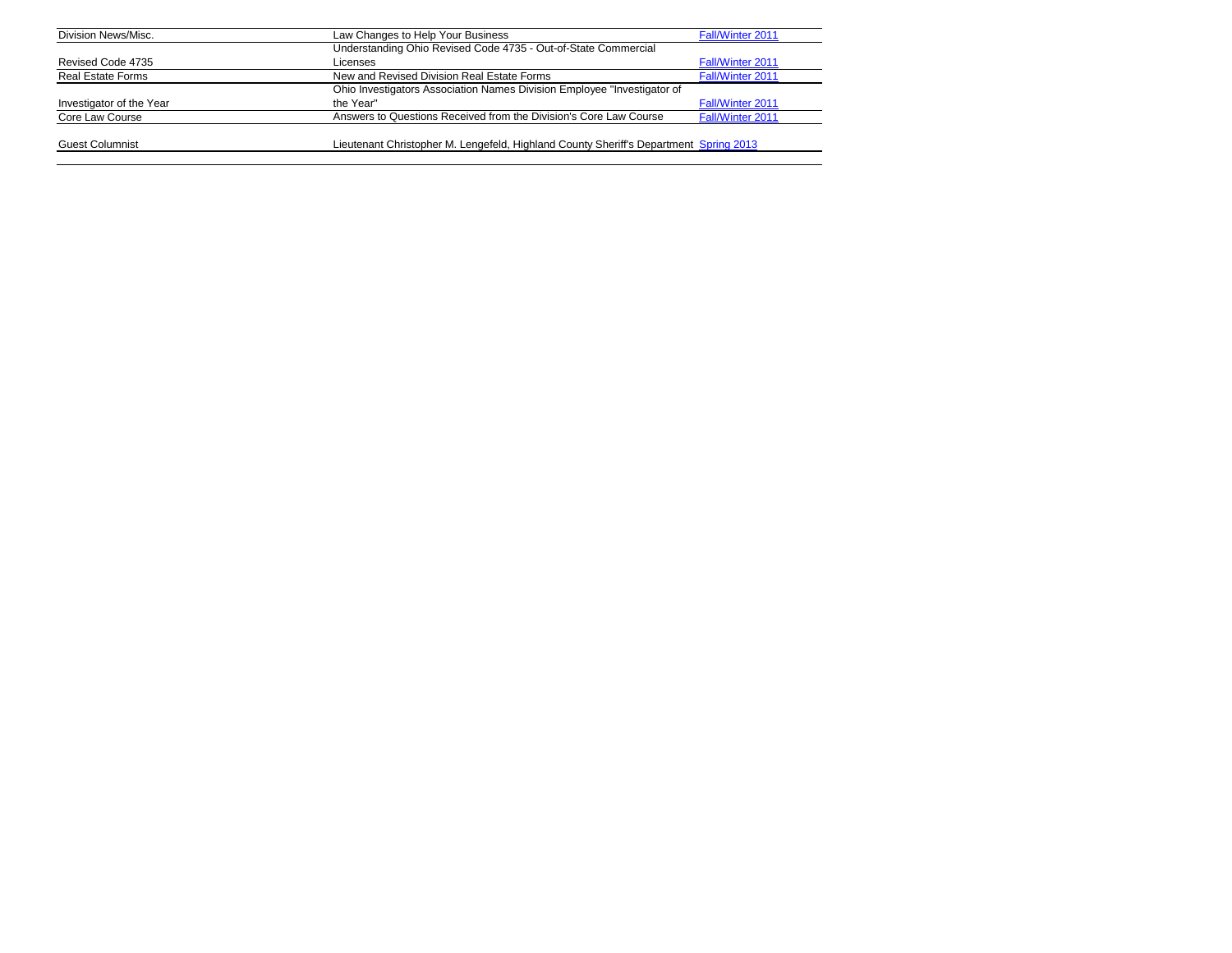| Division News/Misc.      | Law Changes to Help Your Business                                                     | <b>Fall/Winter 2011</b> |
|--------------------------|---------------------------------------------------------------------------------------|-------------------------|
|                          | Understanding Ohio Revised Code 4735 - Out-of-State Commercial                        |                         |
| Revised Code 4735        | Licenses                                                                              | <b>Fall/Winter 2011</b> |
| <b>Real Estate Forms</b> | New and Revised Division Real Estate Forms                                            | Fall/Winter 2011        |
|                          | Ohio Investigators Association Names Division Employee "Investigator of               |                         |
| Investigator of the Year | the Year"                                                                             | <b>Fall/Winter 2011</b> |
| Core Law Course          | Answers to Questions Received from the Division's Core Law Course                     | Fall/Winter 2011        |
| <b>Guest Columnist</b>   | Lieutenant Christopher M. Lengefeld, Highland County Sheriff's Department Spring 2013 |                         |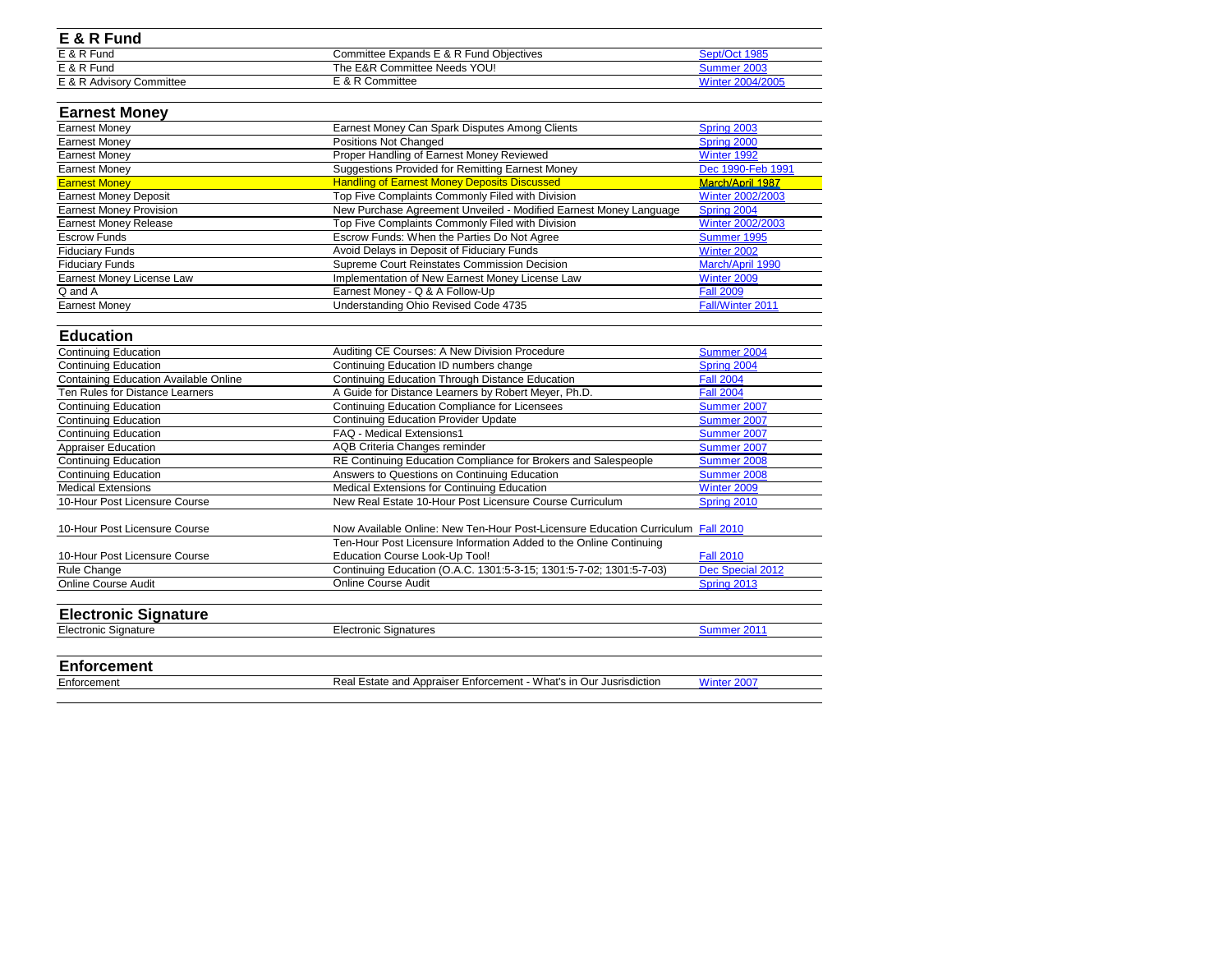| E & R Fund               |                                         |                  |
|--------------------------|-----------------------------------------|------------------|
| E & R Fund               | Committee Expands E & R Fund Objectives | Sept/Oct 1985    |
| E & R Fund               | The E&R Committee Needs YOU!            | Summer 2003      |
| E & R Advisory Committee | E & R Committee                         | Winter 2004/2005 |
|                          |                                         |                  |

## **Earnest Money**

| <b>Earnest Money</b>           | Earnest Money Can Spark Disputes Among Clients                    | Spring 2003       |
|--------------------------------|-------------------------------------------------------------------|-------------------|
| Earnest Money                  | Positions Not Changed                                             | Spring 2000       |
| <b>Earnest Money</b>           | Proper Handling of Earnest Money Reviewed                         | Winter 1992       |
| Earnest Money                  | <b>Suggestions Provided for Remitting Earnest Money</b>           | Dec 1990-Feb 1991 |
| <b>Earnest Money</b>           | <b>Handling of Earnest Money Deposits Discussed</b>               | March/April 1987  |
| <b>Earnest Money Deposit</b>   | Top Five Complaints Commonly Filed with Division                  | Winter 2002/2003  |
| <b>Earnest Money Provision</b> | New Purchase Agreement Unveiled - Modified Earnest Money Language | Spring 2004       |
| <b>Earnest Money Release</b>   | Top Five Complaints Commonly Filed with Division                  | Winter 2002/2003  |
| <b>Escrow Funds</b>            | Escrow Funds: When the Parties Do Not Agree                       | Summer 1995       |
| <b>Fiduciary Funds</b>         | Avoid Delays in Deposit of Fiduciary Funds                        | Winter 2002       |
| <b>Fiduciary Funds</b>         | Supreme Court Reinstates Commission Decision                      | March/April 1990  |
| Earnest Money License Law      | Implementation of New Earnest Money License Law                   | Winter 2009       |
| Q and A                        | Earnest Money - Q & A Follow-Up                                   | <b>Fall 2009</b>  |
| <b>Earnest Money</b>           | Understanding Ohio Revised Code 4735                              | Fall/Winter 2011  |

## **Education**

| <b>Continuing Education</b>                  | Auditing CE Courses: A New Division Procedure                                    | Summer 2004        |
|----------------------------------------------|----------------------------------------------------------------------------------|--------------------|
| <b>Continuing Education</b>                  | Continuing Education ID numbers change                                           | Spring 2004        |
| <b>Containing Education Available Online</b> | Continuing Education Through Distance Education                                  | <b>Fall 2004</b>   |
| Ten Rules for Distance Learners              | A Guide for Distance Learners by Robert Meyer, Ph.D.                             | <b>Fall 2004</b>   |
| <b>Continuing Education</b>                  | <b>Continuing Education Compliance for Licensees</b>                             | <b>Summer 2007</b> |
| <b>Continuing Education</b>                  | <b>Continuing Education Provider Update</b>                                      | Summer 2007        |
| <b>Continuing Education</b>                  | FAQ - Medical Extensions1                                                        | Summer 2007        |
| <b>Appraiser Education</b>                   | AQB Criteria Changes reminder                                                    | Summer 2007        |
| <b>Continuing Education</b>                  | RE Continuing Education Compliance for Brokers and Salespeople                   | Summer 2008        |
| <b>Continuing Education</b>                  | Answers to Questions on Continuing Education                                     | Summer 2008        |
| <b>Medical Extensions</b>                    | Medical Extensions for Continuing Education                                      | Winter 2009        |
| 10-Hour Post Licensure Course                | New Real Estate 10-Hour Post Licensure Course Curriculum                         | Spring 2010        |
| 10-Hour Post Licensure Course                | Now Available Online: New Ten-Hour Post-Licensure Education Curriculum Fall 2010 |                    |
|                                              | Ten-Hour Post Licensure Information Added to the Online Continuing               |                    |
| 10-Hour Post Licensure Course                | <b>Education Course Look-Up Tool!</b>                                            | <b>Fall 2010</b>   |
| Rule Change                                  | Continuing Education (O.A.C. 1301:5-3-15; 1301:5-7-02; 1301:5-7-03)              | Dec Special 2012   |
| <b>Online Course Audit</b>                   | <b>Online Course Audit</b>                                                       | <b>Spring 2013</b> |
| <b>Electronic Signature</b>                  |                                                                                  |                    |
| <b>Electronic Signature</b>                  | <b>Electronic Signatures</b>                                                     | Summer 2011        |
|                                              |                                                                                  |                    |

## **Enforcement**

| Enforcement | Real Estate and Appra |
|-------------|-----------------------|
|             |                       |
|             |                       |

aiser Enforcement - What's in Our Jusrisdiction [Winter 2007](http://www.com.ohio.gov/documents/real_2007Winter.pdf)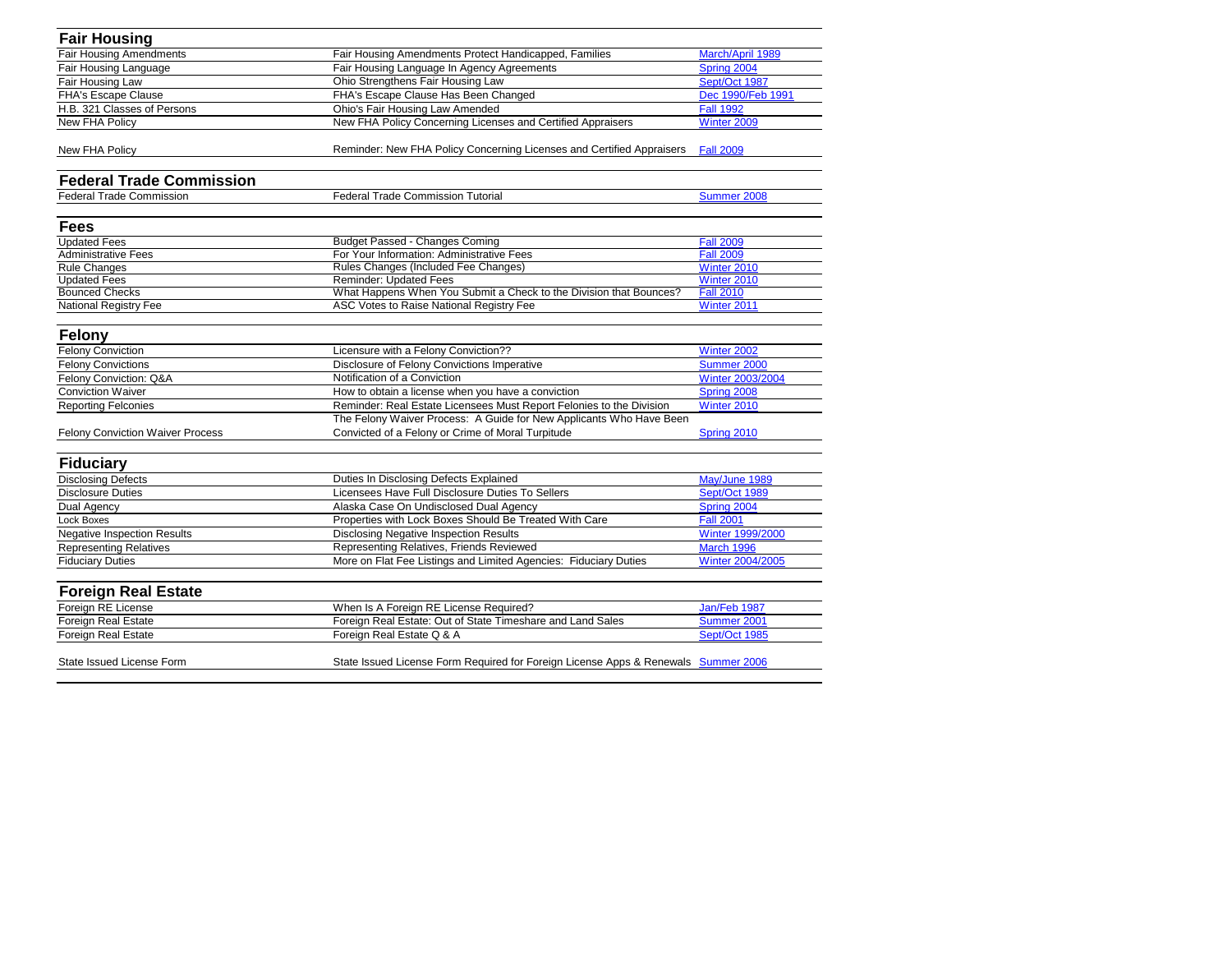| <b>Fair Housing</b>                     |                                                                                    |                         |
|-----------------------------------------|------------------------------------------------------------------------------------|-------------------------|
| <b>Fair Housing Amendments</b>          | Fair Housing Amendments Protect Handicapped, Families                              | March/April 1989        |
| Fair Housing Language                   | Fair Housing Language In Agency Agreements                                         | Spring 2004             |
| Fair Housing Law                        | Ohio Strengthens Fair Housing Law                                                  | Sept/Oct 1987           |
| <b>FHA's Escape Clause</b>              | FHA's Escape Clause Has Been Changed                                               | Dec 1990/Feb 1991       |
| H.B. 321 Classes of Persons             | <b>Ohio's Fair Housing Law Amended</b>                                             | <b>Fall 1992</b>        |
| New FHA Policy                          | New FHA Policy Concerning Licenses and Certified Appraisers                        | Winter 2009             |
| New FHA Policy                          | Reminder: New FHA Policy Concerning Licenses and Certified Appraisers              | <b>Fall 2009</b>        |
| <b>Federal Trade Commission</b>         |                                                                                    |                         |
| <b>Federal Trade Commission</b>         | <b>Federal Trade Commission Tutorial</b>                                           | Summer 2008             |
| <b>Fees</b>                             |                                                                                    |                         |
| <b>Updated Fees</b>                     | <b>Budget Passed - Changes Coming</b>                                              | <b>Fall 2009</b>        |
| <b>Administrative Fees</b>              | For Your Information: Administrative Fees                                          | <b>Fall 2009</b>        |
| <b>Rule Changes</b>                     | Rules Changes (Included Fee Changes)                                               | Winter 2010             |
| <b>Updated Fees</b>                     | <b>Reminder: Updated Fees</b>                                                      | Winter 2010             |
| <b>Bounced Checks</b>                   | What Happens When You Submit a Check to the Division that Bounces?                 | <b>Fall 2010</b>        |
| <b>National Registry Fee</b>            | ASC Votes to Raise National Registry Fee                                           | Winter 2011             |
| <b>Felony</b>                           |                                                                                    |                         |
| <b>Felony Conviction</b>                | Licensure with a Felony Conviction??                                               | Winter 2002             |
| <b>Felony Convictions</b>               | Disclosure of Felony Convictions Imperative                                        | Summer 2000             |
| Felony Conviction: Q&A                  | Notification of a Conviction                                                       | <b>Winter 2003/2004</b> |
| <b>Conviction Waiver</b>                | How to obtain a license when you have a conviction                                 | Spring 2008             |
| <b>Reporting Felconies</b>              | Reminder: Real Estate Licensees Must Report Felonies to the Division               | Winter 2010             |
|                                         | The Felony Waiver Process: A Guide for New Applicants Who Have Been                |                         |
| <b>Felony Conviction Waiver Process</b> | Convicted of a Felony or Crime of Moral Turpitude                                  | Spring 2010             |
|                                         |                                                                                    |                         |
| <b>Fiduciary</b>                        |                                                                                    |                         |
| <b>Disclosing Defects</b>               | Duties In Disclosing Defects Explained                                             | May/June 1989           |
| Disclosure Duties                       | Licensees Have Full Disclosure Duties To Sellers                                   | Sept/Oct 1989           |
| Dual Agency                             | Alaska Case On Undisclosed Dual Agency                                             | Spring 2004             |
| Lock Boxes                              | Properties with Lock Boxes Should Be Treated With Care                             | <b>Fall 2001</b>        |
| <b>Negative Inspection Results</b>      | <b>Disclosing Negative Inspection Results</b>                                      | <b>Winter 1999/2000</b> |
| <b>Representing Relatives</b>           | Representing Relatives, Friends Reviewed                                           | March 1996              |
| <b>Fiduciary Duties</b>                 | More on Flat Fee Listings and Limited Agencies: Fiduciary Duties                   | Winter 2004/2005        |
| <b>Foreign Real Estate</b>              |                                                                                    |                         |
| Foreign RE License                      | When Is A Foreign RE License Required?                                             | Jan/Feb 1987            |
| Foreign Real Estate                     | Foreign Real Estate: Out of State Timeshare and Land Sales                         | Summer 2001             |
| Foreign Real Estate                     | Foreign Real Estate Q & A                                                          | Sept/Oct 1985           |
| State Issued License Form               | State Issued License Form Required for Foreign License Apps & Renewals Summer 2006 |                         |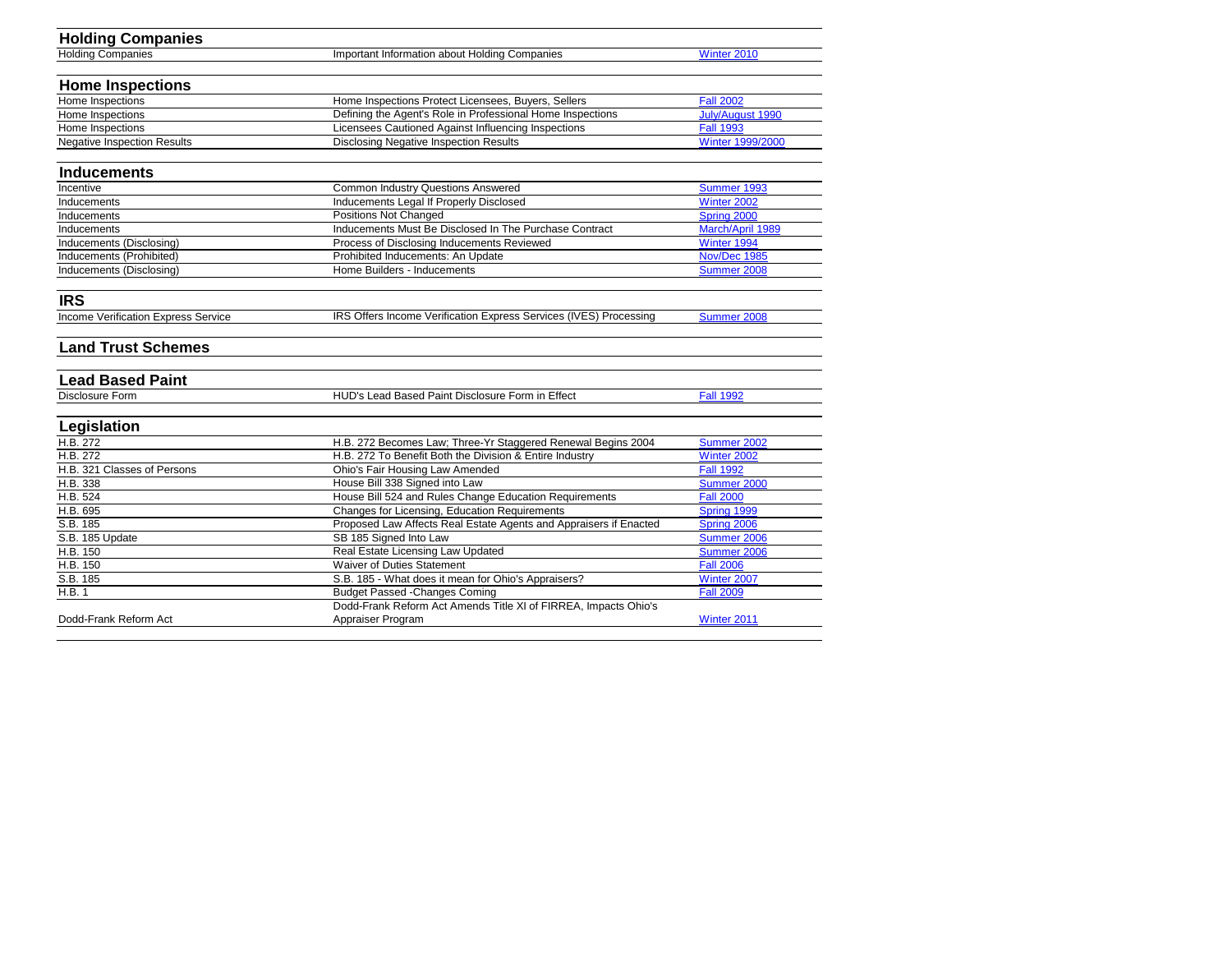| <b>Holding Companies</b>            |                                                                   |                  |
|-------------------------------------|-------------------------------------------------------------------|------------------|
| <b>Holding Companies</b>            | Important Information about Holding Companies                     | Winter 2010      |
|                                     |                                                                   |                  |
| <b>Home Inspections</b>             |                                                                   |                  |
| Home Inspections                    | Home Inspections Protect Licensees, Buyers, Sellers               | <b>Fall 2002</b> |
| Home Inspections                    | Defining the Agent's Role in Professional Home Inspections        | July/August 1990 |
| Home Inspections                    | Licensees Cautioned Against Influencing Inspections               | <b>Fall 1993</b> |
| <b>Negative Inspection Results</b>  | <b>Disclosing Negative Inspection Results</b>                     | Winter 1999/2000 |
| <b>Inducements</b>                  |                                                                   |                  |
| Incentive                           | <b>Common Industry Questions Answered</b>                         | Summer 1993      |
| Inducements                         | Inducements Legal If Properly Disclosed                           | Winter 2002      |
| Inducements                         | Positions Not Changed                                             | Spring 2000      |
| Inducements                         | Inducements Must Be Disclosed In The Purchase Contract            | March/April 1989 |
| Inducements (Disclosing)            | Process of Disclosing Inducements Reviewed                        | Winter 1994      |
| Inducements (Prohibited)            | Prohibited Inducements: An Update                                 | Nov/Dec 1985     |
| Inducements (Disclosing)            | Home Builders - Inducements                                       | Summer 2008      |
|                                     |                                                                   |                  |
| <b>IRS</b>                          |                                                                   |                  |
| Income Verification Express Service | IRS Offers Income Verification Express Services (IVES) Processing | Summer 2008      |
| <b>Land Trust Schemes</b>           |                                                                   |                  |
| <b>Lead Based Paint</b>             |                                                                   |                  |
| <b>Disclosure Form</b>              | HUD's Lead Based Paint Disclosure Form in Effect                  | <b>Fall 1992</b> |
| Legislation                         |                                                                   |                  |
| H.B. 272                            | H.B. 272 Becomes Law; Three-Yr Staggered Renewal Begins 2004      | Summer 2002      |
| H.B. 272                            | H.B. 272 To Benefit Both the Division & Entire Industry           | Winter 2002      |
| H.B. 321 Classes of Persons         | <b>Ohio's Fair Housing Law Amended</b>                            | <b>Fall 1992</b> |
| H.B. 338                            | House Bill 338 Signed into Law                                    | Summer 2000      |
| H.B. 524                            | House Bill 524 and Rules Change Education Requirements            | <b>Fall 2000</b> |
| H.B. 695                            | Changes for Licensing, Education Requirements                     | Spring 1999      |
| S.B. 185                            | Proposed Law Affects Real Estate Agents and Appraisers if Enacted | Spring 2006      |
| S.B. 185 Update                     | SB 185 Signed Into Law                                            | Summer 2006      |
| H.B. 150                            | Real Estate Licensing Law Updated                                 | Summer 2006      |
| H.B. 150                            | <b>Waiver of Duties Statement</b>                                 | <b>Fall 2006</b> |
| S.B. 185                            | S.B. 185 - What does it mean for Ohio's Appraisers?               | Winter 2007      |
| H.B. 1                              | <b>Budget Passed -Changes Coming</b>                              | <b>Fall 2009</b> |
|                                     | Dodd-Frank Reform Act Amends Title XI of FIRREA, Impacts Ohio's   |                  |
| Dodd-Frank Reform Act               | Appraiser Program                                                 | Winter 2011      |
|                                     |                                                                   |                  |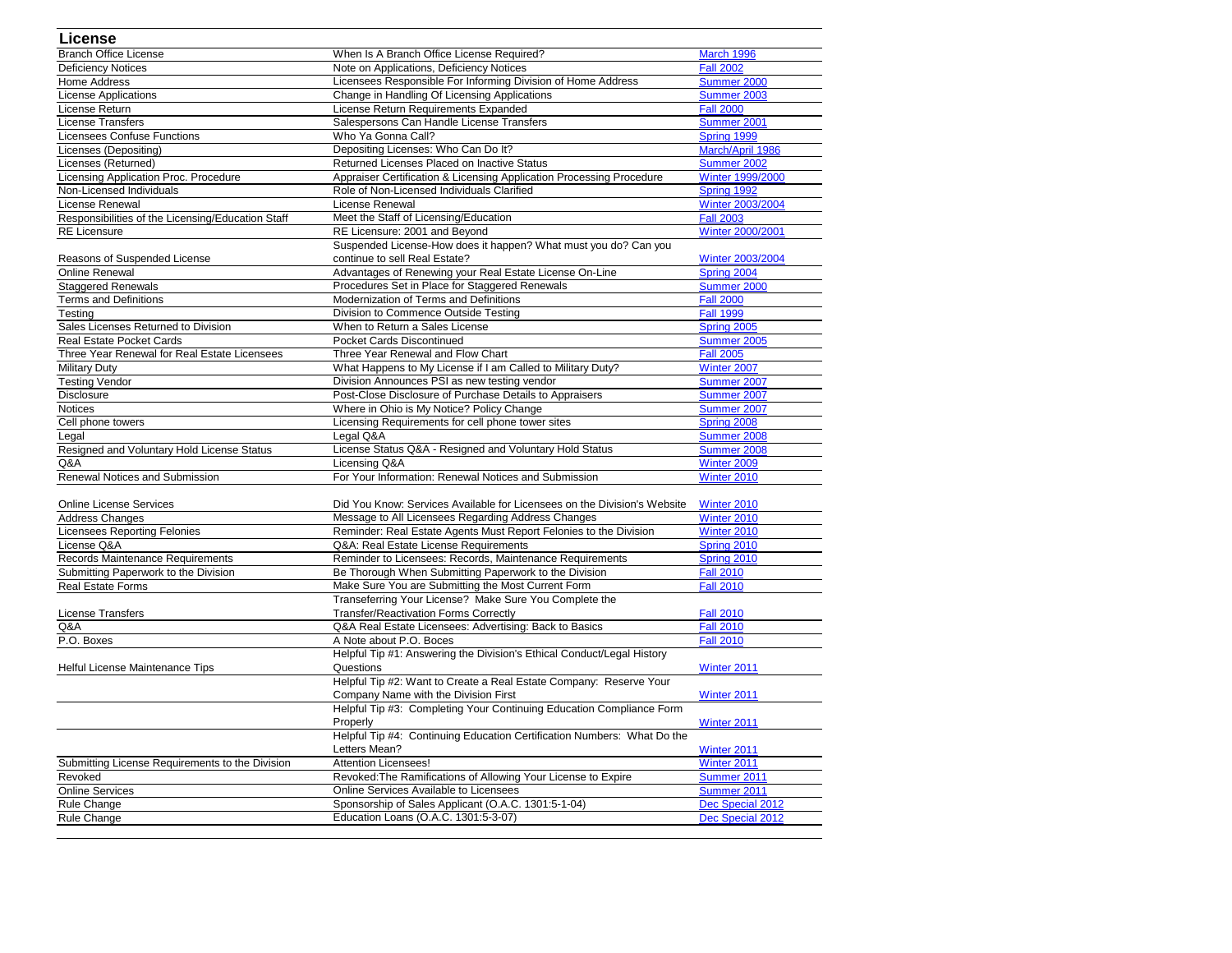| <b>License</b>                                    |                                                                          |                    |
|---------------------------------------------------|--------------------------------------------------------------------------|--------------------|
| <b>Branch Office License</b>                      | When Is A Branch Office License Required?                                | March 1996         |
| <b>Deficiency Notices</b>                         | Note on Applications, Deficiency Notices                                 | <b>Fall 2002</b>   |
| <b>Home Address</b>                               | Licensees Responsible For Informing Division of Home Address             | Summer 2000        |
| <b>License Applications</b>                       | Change in Handling Of Licensing Applications                             | Summer 2003        |
| License Return                                    | License Return Requirements Expanded                                     | <b>Fall 2000</b>   |
| <b>License Transfers</b>                          | Salespersons Can Handle License Transfers                                | Summer 2001        |
| <b>Licensees Confuse Functions</b>                | Who Ya Gonna Call?                                                       | Spring 1999        |
| Licenses (Depositing)                             | Depositing Licenses: Who Can Do It?                                      | March/April 1986   |
| Licenses (Returned)                               | Returned Licenses Placed on Inactive Status                              | Summer 2002        |
| Licensing Application Proc. Procedure             | Appraiser Certification & Licensing Application Processing Procedure     | Winter 1999/2000   |
| Non-Licensed Individuals                          | Role of Non-Licensed Individuals Clarified                               | Spring 1992        |
| License Renewal                                   | License Renewal                                                          | Winter 2003/2004   |
| Responsibilities of the Licensing/Education Staff | Meet the Staff of Licensing/Education                                    | <b>Fall 2003</b>   |
| <b>RE Licensure</b>                               | RE Licensure: 2001 and Beyond                                            | Winter 2000/2001   |
|                                                   | Suspended License-How does it happen? What must you do? Can you          |                    |
| Reasons of Suspended License                      | continue to sell Real Estate?                                            | Winter 2003/2004   |
| <b>Online Renewal</b>                             | Advantages of Renewing your Real Estate License On-Line                  | Spring 2004        |
| <b>Staggered Renewals</b>                         | Procedures Set in Place for Staggered Renewals                           | Summer 2000        |
| <b>Terms and Definitions</b>                      | Modernization of Terms and Definitions                                   | <b>Fall 2000</b>   |
| Testing                                           | Division to Commence Outside Testing                                     | <b>Fall 1999</b>   |
| Sales Licenses Returned to Division               | When to Return a Sales License                                           | Spring 2005        |
| <b>Real Estate Pocket Cards</b>                   | <b>Pocket Cards Discontinued</b>                                         | Summer 2005        |
| Three Year Renewal for Real Estate Licensees      | Three Year Renewal and Flow Chart                                        | <b>Fall 2005</b>   |
| <b>Military Duty</b>                              | What Happens to My License if I am Called to Military Duty?              | Winter 2007        |
| <b>Testing Vendor</b>                             | Division Announces PSI as new testing vendor                             | Summer 2007        |
| <b>Disclosure</b>                                 | Post-Close Disclosure of Purchase Details to Appraisers                  | Summer 2007        |
| <b>Notices</b>                                    | Where in Ohio is My Notice? Policy Change                                | Summer 2007        |
| Cell phone towers                                 | Licensing Requirements for cell phone tower sites                        | Spring 2008        |
| Legal                                             | Legal Q&A                                                                | Summer 2008        |
| Resigned and Voluntary Hold License Status        | License Status Q&A - Resigned and Voluntary Hold Status                  | Summer 2008        |
| Q&A                                               | Licensing Q&A                                                            | Winter 2009        |
| Renewal Notices and Submission                    | For Your Information: Renewal Notices and Submission                     | Winter 2010        |
|                                                   |                                                                          |                    |
| <b>Online License Services</b>                    | Did You Know: Services Available for Licensees on the Division's Website | Winter 2010        |
| <b>Address Changes</b>                            | Message to All Licensees Regarding Address Changes                       | Winter 2010        |
| <b>Licensees Reporting Felonies</b>               | Reminder: Real Estate Agents Must Report Felonies to the Division        | Winter 2010        |
| License Q&A                                       | Q&A: Real Estate License Requirements                                    | Spring 2010        |
| Records Maintenance Requirements                  | Reminder to Licensees: Records, Maintenance Requirements                 | Spring 2010        |
| Submitting Paperwork to the Division              | Be Thorough When Submitting Paperwork to the Division                    | <b>Fall 2010</b>   |
| <b>Real Estate Forms</b>                          | Make Sure You are Submitting the Most Current Form                       | <b>Fall 2010</b>   |
|                                                   | Transeferring Your License? Make Sure You Complete the                   |                    |
| <b>License Transfers</b>                          | <b>Transfer/Reactivation Forms Correctly</b>                             | <b>Fall 2010</b>   |
| Q&A                                               | Q&A Real Estate Licensees: Advertising: Back to Basics                   | <b>Fall 2010</b>   |
| P.O. Boxes                                        | A Note about P.O. Boces                                                  | <b>Fall 2010</b>   |
|                                                   | Helpful Tip #1: Answering the Division's Ethical Conduct/Legal History   |                    |
| Helful License Maintenance Tips                   | Questions                                                                | Winter 2011        |
|                                                   | Helpful Tip #2: Want to Create a Real Estate Company: Reserve Your       |                    |
|                                                   | Company Name with the Division First                                     | <b>Winter 2011</b> |
|                                                   | Helpful Tip #3: Completing Your Continuing Education Compliance Form     |                    |
|                                                   | Properly                                                                 | <b>Winter 2011</b> |
|                                                   | Helpful Tip #4: Continuing Education Certification Numbers: What Do the  |                    |
|                                                   | Letters Mean?                                                            | <b>Winter 2011</b> |
| Submitting License Requirements to the Division   | <b>Attention Licensees!</b>                                              | Winter 2011        |
| Revoked                                           | Revoked: The Ramifications of Allowing Your License to Expire            | Summer 2011        |
| <b>Online Services</b>                            | Online Services Available to Licensees                                   | Summer 2011        |
| Rule Change                                       | Sponsorship of Sales Applicant (O.A.C. 1301:5-1-04)                      | Dec Special 2012   |
| Rule Change                                       | Education Loans (O.A.C. 1301:5-3-07)                                     | Dec Special 2012   |
|                                                   |                                                                          |                    |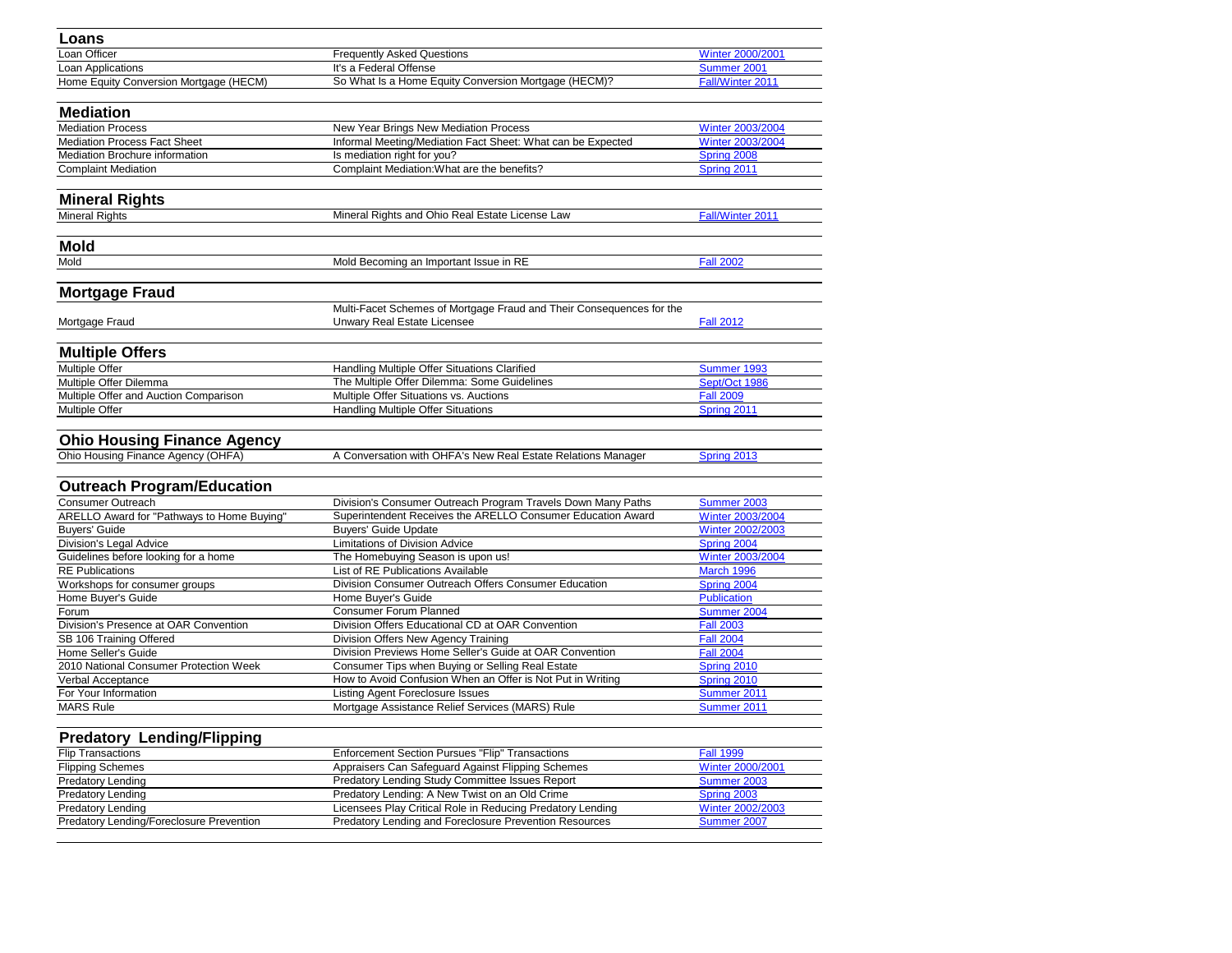| Loans                                           |                                                                      |                         |
|-------------------------------------------------|----------------------------------------------------------------------|-------------------------|
| Loan Officer                                    | <b>Frequently Asked Questions</b>                                    | Winter 2000/2001        |
| Loan Applications                               | It's a Federal Offense                                               | Summer 2001             |
| Home Equity Conversion Mortgage (HECM)          | So What Is a Home Equity Conversion Mortgage (HECM)?                 | Fall/Winter 2011        |
|                                                 |                                                                      |                         |
| <b>Mediation</b>                                |                                                                      |                         |
| <b>Mediation Process</b>                        | New Year Brings New Mediation Process                                | Winter 2003/2004        |
| <b>Mediation Process Fact Sheet</b>             | Informal Meeting/Mediation Fact Sheet: What can be Expected          | <b>Winter 2003/2004</b> |
| Mediation Brochure information                  | Is mediation right for you?                                          | Spring 2008             |
| <b>Complaint Mediation</b>                      | Complaint Mediation: What are the benefits?                          | Spring 2011             |
|                                                 |                                                                      |                         |
| <b>Mineral Rights</b>                           |                                                                      |                         |
| <b>Mineral Rights</b>                           | Mineral Rights and Ohio Real Estate License Law                      | Fall/Winter 2011        |
| <b>Mold</b>                                     |                                                                      |                         |
| Mold                                            | Mold Becoming an Important Issue in RE                               | <b>Fall 2002</b>        |
|                                                 |                                                                      |                         |
| <b>Mortgage Fraud</b>                           |                                                                      |                         |
|                                                 | Multi-Facet Schemes of Mortgage Fraud and Their Consequences for the |                         |
| Mortgage Fraud                                  | Unwary Real Estate Licensee                                          | <b>Fall 2012</b>        |
|                                                 |                                                                      |                         |
| <b>Multiple Offers</b>                          |                                                                      |                         |
| Multiple Offer                                  | <b>Handling Multiple Offer Situations Clarified</b>                  | Summer 1993             |
| Multiple Offer Dilemma                          | The Multiple Offer Dilemma: Some Guidelines                          | Sept/Oct 1986           |
| Multiple Offer and Auction Comparison           | Multiple Offer Situations vs. Auctions                               | <b>Fall 2009</b>        |
| Multiple Offer                                  | <b>Handling Multiple Offer Situations</b>                            | Spring 2011             |
|                                                 |                                                                      |                         |
| <b>Ohio Housing Finance Agency</b>              |                                                                      |                         |
| Ohio Housing Finance Agency (OHFA)              | A Conversation with OHFA's New Real Estate Relations Manager         | Spring 2013             |
|                                                 |                                                                      |                         |
| <b>Outreach Program/Education</b>               |                                                                      |                         |
| <b>Consumer Outreach</b>                        | Division's Consumer Outreach Program Travels Down Many Paths         | Summer 2003             |
| ARELLO Award for "Pathways to Home Buying"      | Superintendent Receives the ARELLO Consumer Education Award          | <b>Winter 2003/2004</b> |
| <b>Buyers' Guide</b>                            | <b>Buyers' Guide Update</b>                                          | Winter 2002/2003        |
| Division's Legal Advice                         | <b>Limitations of Division Advice</b>                                | Spring 2004             |
| Guidelines before looking for a home            | The Homebuying Season is upon us!                                    | Winter 2003/2004        |
| <b>RE Publications</b>                          | List of RE Publications Available                                    | March 1996              |
| Workshops for consumer groups                   | Division Consumer Outreach Offers Consumer Education                 | Spring 2004             |
| Home Buyer's Guide                              | Home Buyer's Guide                                                   | <b>Publication</b>      |
| Forum                                           | <b>Consumer Forum Planned</b>                                        | Summer 2004             |
| Division's Presence at OAR Convention           | Division Offers Educational CD at OAR Convention                     | <b>Fall 2003</b>        |
| SB 106 Training Offered                         | Division Offers New Agency Training                                  | <b>Fall 2004</b>        |
| Home Seller's Guide                             | Division Previews Home Seller's Guide at OAR Convention              | <b>Fall 2004</b>        |
| 2010 National Consumer Protection Week          | Consumer Tips when Buying or Selling Real Estate                     | Spring 2010             |
| Verbal Acceptance                               | How to Avoid Confusion When an Offer is Not Put in Writing           | Spring 2010             |
| For Your Information                            | Listing Agent Foreclosure Issues                                     | Summer 2011             |
| <b>MARS Rule</b>                                | Mortgage Assistance Relief Services (MARS) Rule                      | Summer 2011             |
|                                                 |                                                                      |                         |
| <b>Predatory Lending/Flipping</b>               |                                                                      |                         |
| <b>Flip Transactions</b>                        | <b>Enforcement Section Pursues "Flip" Transactions</b>               | <b>Fall 1999</b>        |
| <b>Flipping Schemes</b>                         | Appraisers Can Safeguard Against Flipping Schemes                    | Winter 2000/2001        |
| <b>Predatory Lending</b>                        | Predatory Lending Study Committee Issues Report                      | Summer 2003             |
| <b>Predatory Lending</b>                        | Predatory Lending: A New Twist on an Old Crime                       | Spring 2003             |
| <b>Predatory Lending</b>                        | Licensees Play Critical Role in Reducing Predatory Lending           | <b>Winter 2002/2003</b> |
| <b>Predatory Lending/Foreclosure Prevention</b> | Predatory Lending and Foreclosure Prevention Resources               | Summer 2007             |
|                                                 |                                                                      |                         |
|                                                 |                                                                      |                         |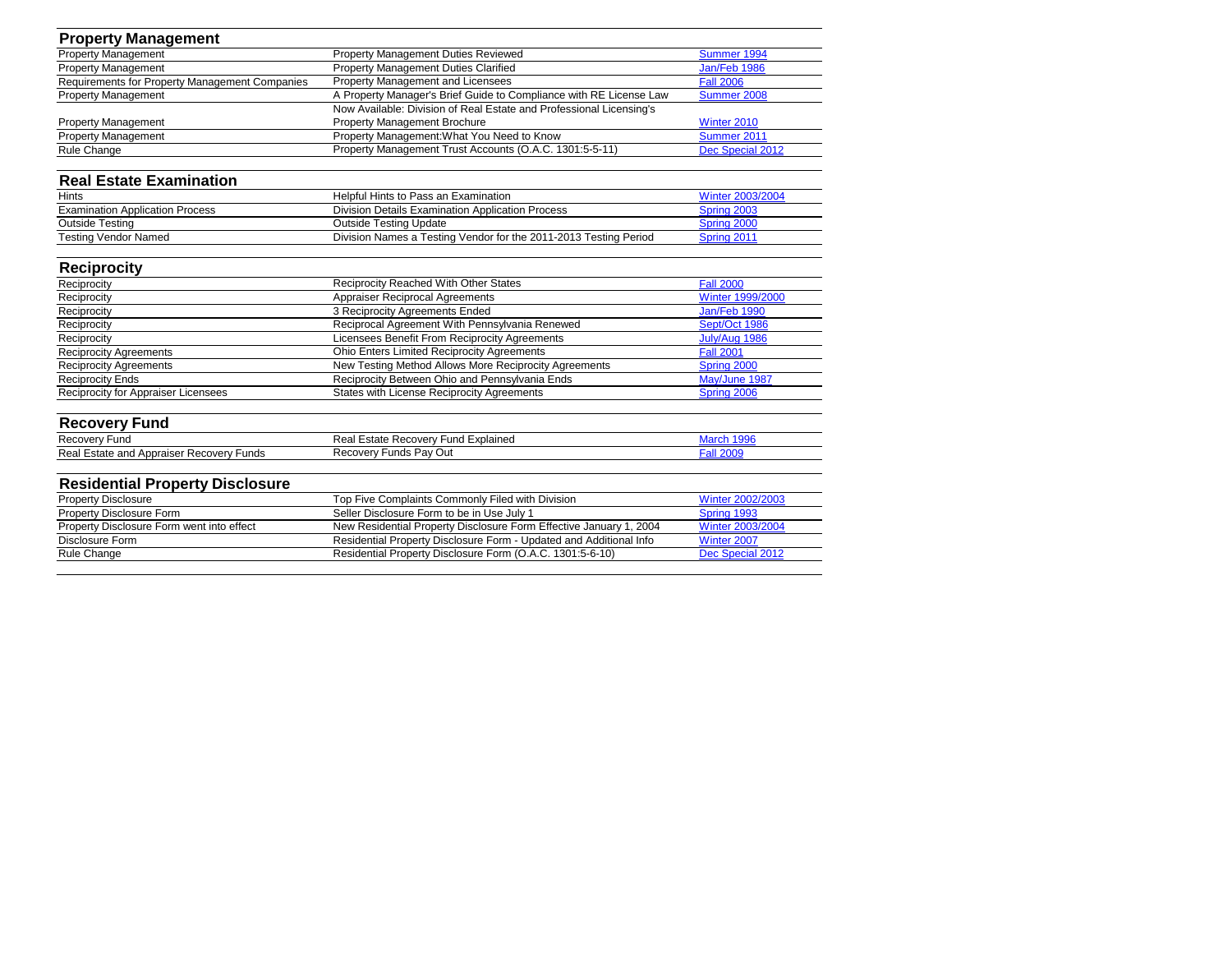| <b>Property Management</b>                     |                                                                     |                         |
|------------------------------------------------|---------------------------------------------------------------------|-------------------------|
| <b>Property Management</b>                     | <b>Property Management Duties Reviewed</b>                          | <b>Summer 1994</b>      |
| <b>Property Management</b>                     | <b>Property Management Duties Clarified</b>                         | Jan/Feb 1986            |
| Requirements for Property Management Companies | <b>Property Management and Licensees</b>                            | <b>Fall 2006</b>        |
| <b>Property Management</b>                     | A Property Manager's Brief Guide to Compliance with RE License Law  | Summer 2008             |
|                                                | Now Available: Division of Real Estate and Professional Licensing's |                         |
| <b>Property Management</b>                     | <b>Property Management Brochure</b>                                 | Winter 2010             |
| <b>Property Management</b>                     | Property Management: What You Need to Know                          | Summer 2011             |
| Rule Change                                    | Property Management Trust Accounts (O.A.C. 1301:5-5-11)             | Dec Special 2012        |
| <b>Real Estate Examination</b>                 |                                                                     |                         |
| <b>Hints</b>                                   | Helpful Hints to Pass an Examination                                | <b>Winter 2003/2004</b> |
| <b>Examination Application Process</b>         | <b>Division Details Examination Application Process</b>             | Spring 2003             |
| <b>Outside Testing</b>                         | <b>Outside Testing Update</b>                                       | Spring 2000             |
| <b>Testing Vendor Named</b>                    | Division Names a Testing Vendor for the 2011-2013 Testing Period    | Spring 2011             |
| <b>Reciprocity</b>                             |                                                                     |                         |
| Reciprocity                                    | <b>Reciprocity Reached With Other States</b>                        | <b>Fall 2000</b>        |
| Reciprocity                                    | <b>Appraiser Reciprocal Agreements</b>                              | <b>Winter 1999/2000</b> |
| Reciprocity                                    | 3 Reciprocity Agreements Ended                                      | Jan/Feb 1990            |
| Reciprocity                                    | Reciprocal Agreement With Pennsylvania Renewed                      | Sept/Oct 1986           |
| Reciprocity                                    | Licensees Benefit From Reciprocity Agreements                       | July/Aug 1986           |
| <b>Reciprocity Agreements</b>                  | <b>Ohio Enters Limited Reciprocity Agreements</b>                   | <b>Fall 2001</b>        |
| <b>Reciprocity Agreements</b>                  | New Testing Method Allows More Reciprocity Agreements               | Spring 2000             |
| <b>Reciprocity Ends</b>                        | Reciprocity Between Ohio and Pennsylvania Ends                      | May/June 1987           |
| Reciprocity for Appraiser Licensees            | <b>States with License Reciprocity Agreements</b>                   | Spring 2006             |
| <b>Recovery Fund</b>                           |                                                                     |                         |
| <b>Recovery Fund</b>                           | Real Estate Recovery Fund Explained                                 | March 1996              |
| Real Estate and Appraiser Recovery Funds       | <b>Recovery Funds Pay Out</b>                                       | <b>Fall 2009</b>        |
| <b>Residential Property Disclosure</b>         |                                                                     |                         |
| <b>Property Disclosure</b>                     | Top Five Complaints Commonly Filed with Division                    | Winter 2002/2003        |
| <b>Property Disclosure Form</b>                | Seller Disclosure Form to be in Use July 1                          | Spring 1993             |
| Property Disclosure Form went into effect      | New Residential Property Disclosure Form Effective January 1, 2004  | <b>Winter 2003/2004</b> |
| Disclosure Form                                | Residential Property Disclosure Form - Updated and Additional Info  | Winter 2007             |
| Rule Change                                    | Residential Property Disclosure Form (O.A.C. 1301:5-6-10)           | Dec Special 2012        |
|                                                |                                                                     |                         |